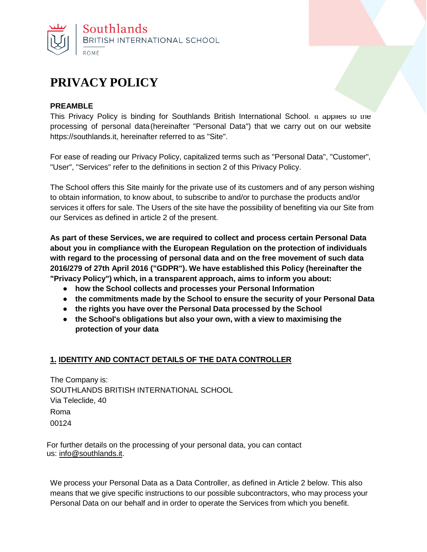

# **PRIVACY POLICY**

#### **PREAMBLE**

This Privacy Policy is binding for Southlands British International School. It applies to the processing of personal data(hereinafter "Personal Data") that we carry out on our website https://southlands.it, hereinafter referred to as "Site".

For ease of reading our Privacy Policy, capitalized terms such as "Personal Data", "Customer", "User", "Services" refer to the definitions in section 2 of this Privacy Policy.

The School offers this Site mainly for the private use of its customers and of any person wishing to obtain information, to know about, to subscribe to and/or to purchase the products and/or services it offers for sale. The Users of the site have the possibility of benefiting via our Site from our Services as defined in article 2 of the present.

**As part of these Services, we are required to collect and process certain Personal Data about you in compliance with the European Regulation on the protection of individuals with regard to the processing of personal data and on the free movement of such data 2016/279 of 27th April 2016 ("GDPR"). We have established this Policy (hereinafter the "Privacy Policy") which, in a transparent approach, aims to inform you about:**

- **● how the School collects and processes your Personal Information**
- **● the commitments made by the School to ensure the security of your Personal Data**
- **● the rights you have over the Personal Data processed by the School**
- **● the School's obligations but also your own, with a view to maximising the protection of your data**

#### **1. IDENTITY AND CONTACT DETAILS OF THE DATA CONTROLLER**

The Company is: SOUTHLANDS BRITISH INTERNATIONAL SCHOOL Via Teleclide, 40 Roma 00124

For further details on the processing of your personal data, you can contact us: [info@southlands.it.](mailto:info@southlands.it)

We process your Personal Data as a Data Controller, as defined in Article 2 below. This also means that we give specific instructions to our possible subcontractors, who may process your Personal Data on our behalf and in order to operate the Services from which you benefit.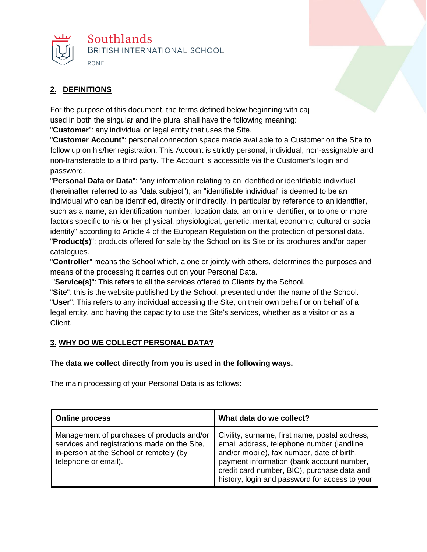

# **2. DEFINITIONS**

For the purpose of this document, the terms defined below beginning with capital retations and letters and let used in both the singular and the plural shall have the following meaning:

"**Customer**": any individual or legal entity that uses the Site.

"**Customer Account**": personal connection space made available to a Customer on the Site to follow up on his/her registration. This Account is strictly personal, individual, non-assignable and non-transferable to a third party. The Account is accessible via the Customer's login and password.

"**Personal Data or Data**": "any information relating to an identified or identifiable individual (hereinafter referred to as "data subject"); an "identifiable individual" is deemed to be an individual who can be identified, directly or indirectly, in particular by reference to an identifier, such as a name, an identification number, location data, an online identifier, or to one or more factors specific to his or her physical, physiological, genetic, mental, economic, cultural or social identity" according to Article 4 of the European Regulation on the protection of personal data. "**Product(s)**": products offered for sale by the School on its Site or its brochures and/or paper catalogues.

"**Controller**" means the School which, alone or jointly with others, determines the purposes and means of the processing it carries out on your Personal Data.

"**Service(s)**": This refers to all the services offered to Clients by the School.

"**Site**": this is the website published by the School, presented under the name of the School. "**User**": This refers to any individual accessing the Site, on their own behalf or on behalf of a legal entity, and having the capacity to use the Site's services, whether as a visitor or as a Client.

#### **3. WHY DO WE COLLECT PERSONAL DATA?**

#### **The data we collect directly from you is used in the following ways.**

The main processing of your Personal Data is as follows:

| <b>Online process</b>                                                                                                                                         | What data do we collect?                                                                                                                                                                                                                                                                |
|---------------------------------------------------------------------------------------------------------------------------------------------------------------|-----------------------------------------------------------------------------------------------------------------------------------------------------------------------------------------------------------------------------------------------------------------------------------------|
| Management of purchases of products and/or<br>services and registrations made on the Site,<br>in-person at the School or remotely (by<br>telephone or email). | Civility, surname, first name, postal address,<br>email address, telephone number (landline<br>and/or mobile), fax number, date of birth,<br>payment information (bank account number,<br>credit card number, BIC), purchase data and<br>history, login and password for access to your |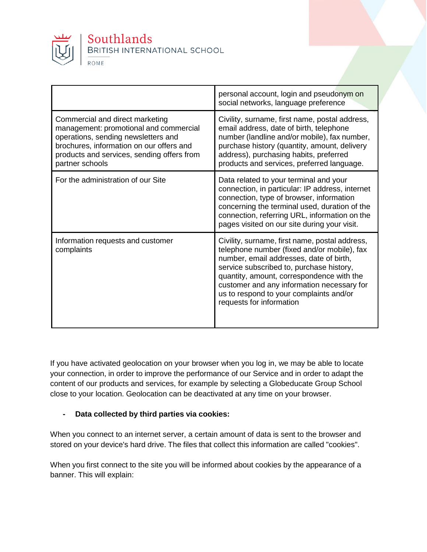

|                                                                                                                                                                                                                               | personal account, login and pseudonym on<br>social networks, language preference                                                                                                                                                                                                                                                                       |
|-------------------------------------------------------------------------------------------------------------------------------------------------------------------------------------------------------------------------------|--------------------------------------------------------------------------------------------------------------------------------------------------------------------------------------------------------------------------------------------------------------------------------------------------------------------------------------------------------|
| Commercial and direct marketing<br>management: promotional and commercial<br>operations, sending newsletters and<br>brochures, information on our offers and<br>products and services, sending offers from<br>partner schools | Civility, surname, first name, postal address,<br>email address, date of birth, telephone<br>number (landline and/or mobile), fax number,<br>purchase history (quantity, amount, delivery<br>address), purchasing habits, preferred<br>products and services, preferred language.                                                                      |
| For the administration of our Site                                                                                                                                                                                            | Data related to your terminal and your<br>connection, in particular: IP address, internet<br>connection, type of browser, information<br>concerning the terminal used, duration of the<br>connection, referring URL, information on the<br>pages visited on our site during your visit.                                                                |
| Information requests and customer<br>complaints                                                                                                                                                                               | Civility, surname, first name, postal address,<br>telephone number (fixed and/or mobile), fax<br>number, email addresses, date of birth,<br>service subscribed to, purchase history,<br>quantity, amount, correspondence with the<br>customer and any information necessary for<br>us to respond to your complaints and/or<br>requests for information |

If you have activated geolocation on your browser when you log in, we may be able to locate your connection, in order to improve the performance of our Service and in order to adapt the content of our products and services, for example by selecting a Globeducate Group School close to your location. Geolocation can be deactivated at any time on your browser.

#### **- Data collected by third parties via cookies:**

When you connect to an internet server, a certain amount of data is sent to the browser and stored on your device's hard drive. The files that collect this information are called "cookies".

When you first connect to the site you will be informed about cookies by the appearance of a banner. This will explain: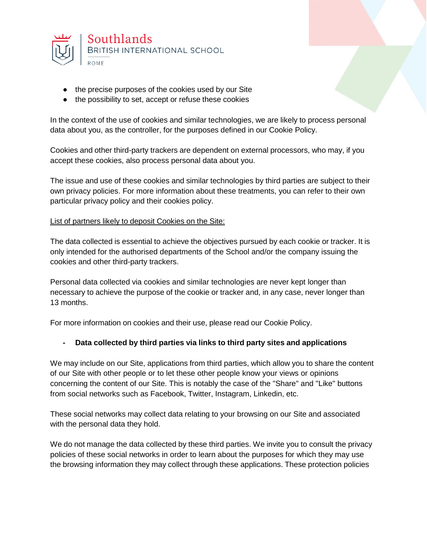

- the precise purposes of the cookies used by our Site
- the possibility to set, accept or refuse these cookies

In the context of the use of cookies and similar technologies, we are likely to process personal data about you, as the controller, for the purposes defined in our Cookie Policy.

Cookies and other third-party trackers are dependent on external processors, who may, if you accept these cookies, also process personal data about you.

The issue and use of these cookies and similar technologies by third parties are subject to their own privacy policies. For more information about these treatments, you can refer to their own particular privacy policy and their cookies policy.

#### List of partners likely to deposit Cookies on the Site:

The data collected is essential to achieve the objectives pursued by each cookie or tracker. It is only intended for the authorised departments of the School and/or the company issuing the cookies and other third-party trackers.

Personal data collected via cookies and similar technologies are never kept longer than necessary to achieve the purpose of the cookie or tracker and, in any case, never longer than 13 months.

For more information on cookies and their use, please read our Cookie Policy.

#### **- Data collected by third parties via links to third party sites and applications**

We may include on our Site, applications from third parties, which allow you to share the content of our Site with other people or to let these other people know your views or opinions concerning the content of our Site. This is notably the case of the "Share" and "Like" buttons from social networks such as Facebook, Twitter, Instagram, Linkedin, etc.

These social networks may collect data relating to your browsing on our Site and associated with the personal data they hold.

We do not manage the data collected by these third parties. We invite you to consult the privacy policies of these social networks in order to learn about the purposes for which they may use the browsing information they may collect through these applications. These protection policies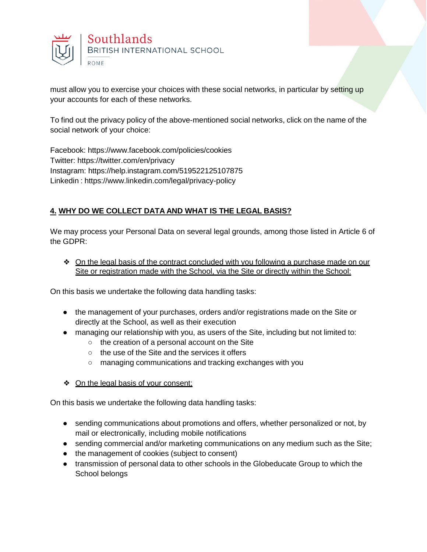

must allow you to exercise your choices with these social networks, in particular by setting up your accounts for each of these networks.

To find out the privacy policy of the above-mentioned social networks, click on the name of the social network of your choice:

Facebook: https:/[/www.facebook.com/policies/cookies](http://www.facebook.com/policies/cookies) Twitter: https://twitter.com/en/privacy Instagram: https://help.instagram.com/519522125107875 Linkedin : https:/[/www.linkedin.com/legal/privacy-policy](http://www.linkedin.com/legal/privacy-policy)

### **4. WHY DO WE COLLECT DATA AND WHAT IS THE LEGAL BASIS?**

We may process your Personal Data on several legal grounds, among those listed in Article 6 of the GDPR:

❖ On the legal basis of the contract concluded with you following a purchase made on our Site or registration made with the School, via the Site or directly within the School:

On this basis we undertake the following data handling tasks:

- the management of your purchases, orders and/or registrations made on the Site or directly at the School, as well as their execution
- managing our relationship with you, as users of the Site, including but not limited to:
	- the creation of a personal account on the Site
	- the use of the Site and the services it offers
	- managing communications and tracking exchanges with you
- ❖ On the legal basis of your consent;

On this basis we undertake the following data handling tasks:

- sending communications about promotions and offers, whether personalized or not, by mail or electronically, including mobile notifications
- sending commercial and/or marketing communications on any medium such as the Site;
- the management of cookies (subject to consent)
- transmission of personal data to other schools in the Globeducate Group to which the School belongs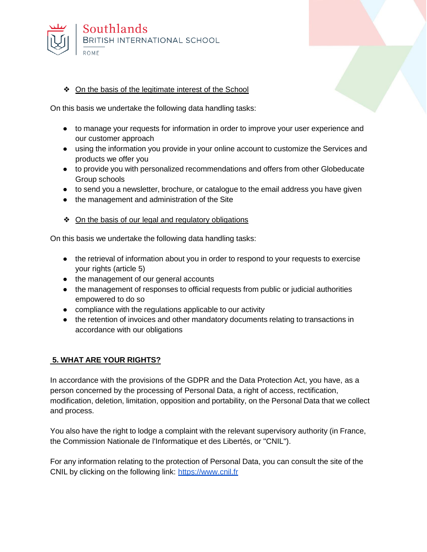

#### ❖ On the basis of the legitimate interest of the School

On this basis we undertake the following data handling tasks:

- to manage your requests for information in order to improve your user experience and our customer approach
- using the information you provide in your online account to customize the Services and products we offer you
- to provide you with personalized recommendations and offers from other Globeducate Group schools
- to send you a newsletter, brochure, or catalogue to the email address you have given
- the management and administration of the Site
- ❖ On the basis of our legal and regulatory obligations

On this basis we undertake the following data handling tasks:

- the retrieval of information about you in order to respond to your requests to exercise your rights (article 5)
- the management of our general accounts
- the management of responses to official requests from public or judicial authorities empowered to do so
- compliance with the regulations applicable to our activity
- the retention of invoices and other mandatory documents relating to transactions in accordance with our obligations

#### **5. WHAT ARE YOUR RIGHTS?**

In accordance with the provisions of the GDPR and the Data Protection Act, you have, as a person concerned by the processing of Personal Data, a right of access, rectification, modification, deletion, limitation, opposition and portability, on the Personal Data that we collect and process.

You also have the right to lodge a complaint with the relevant supervisory authority (in France, the Commission Nationale de l'Informatique et des Libertés, or "CNIL").

For any information relating to the protection of Personal Data, you can consult the site of the CNIL by clicking on the following link: [https://www.cnil.fr](https://www.cnil.fr/)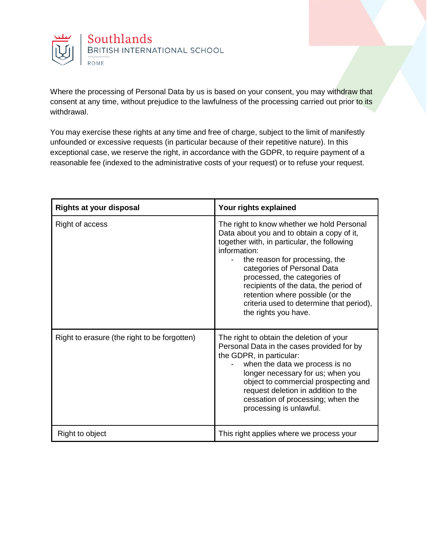

Where the processing of Personal Data by us is based on your consent, you may withdraw that consent at any time, without prejudice to the lawfulness of the processing carried out prior to its withdrawal.

You may exercise these rights at any time and free of charge, subject to the limit of manifestly unfounded or excessive requests (in particular because of their repetitive nature). In this exceptional case, we reserve the right, in accordance with the GDPR, to require payment of a reasonable fee (indexed to the administrative costs of your request) or to refuse your request.

| <b>Rights at your disposal</b>               | Your rights explained                                                                                                                                                                                                                                                                                                                                                                                     |
|----------------------------------------------|-----------------------------------------------------------------------------------------------------------------------------------------------------------------------------------------------------------------------------------------------------------------------------------------------------------------------------------------------------------------------------------------------------------|
| Right of access                              | The right to know whether we hold Personal<br>Data about you and to obtain a copy of it,<br>together with, in particular, the following<br>information:<br>the reason for processing, the<br>categories of Personal Data<br>processed, the categories of<br>recipients of the data, the period of<br>retention where possible (or the<br>criteria used to determine that period),<br>the rights you have. |
| Right to erasure (the right to be forgotten) | The right to obtain the deletion of your<br>Personal Data in the cases provided for by<br>the GDPR, in particular:<br>when the data we process is no<br>longer necessary for us; when you<br>object to commercial prospecting and<br>request deletion in addition to the<br>cessation of processing; when the<br>processing is unlawful.                                                                  |
| Right to object                              | This right applies where we process your                                                                                                                                                                                                                                                                                                                                                                  |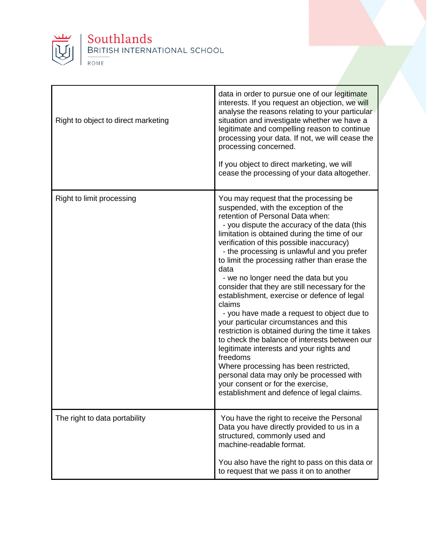

# Southlands<br>BRITISH INTERNATIONAL SCHOOL ROME

| Right to object to direct marketing | data in order to pursue one of our legitimate<br>interests. If you request an objection, we will<br>analyse the reasons relating to your particular<br>situation and investigate whether we have a<br>legitimate and compelling reason to continue<br>processing your data. If not, we will cease the<br>processing concerned.<br>If you object to direct marketing, we will<br>cease the processing of your data altogether.                                                                                                                                                                                                                                                                                                                                                                                                                                                                                                                            |
|-------------------------------------|----------------------------------------------------------------------------------------------------------------------------------------------------------------------------------------------------------------------------------------------------------------------------------------------------------------------------------------------------------------------------------------------------------------------------------------------------------------------------------------------------------------------------------------------------------------------------------------------------------------------------------------------------------------------------------------------------------------------------------------------------------------------------------------------------------------------------------------------------------------------------------------------------------------------------------------------------------|
| Right to limit processing           | You may request that the processing be<br>suspended, with the exception of the<br>retention of Personal Data when:<br>- you dispute the accuracy of the data (this<br>limitation is obtained during the time of our<br>verification of this possible inaccuracy)<br>- the processing is unlawful and you prefer<br>to limit the processing rather than erase the<br>data<br>- we no longer need the data but you<br>consider that they are still necessary for the<br>establishment, exercise or defence of legal<br>claims<br>- you have made a request to object due to<br>your particular circumstances and this<br>restriction is obtained during the time it takes<br>to check the balance of interests between our<br>legitimate interests and your rights and<br>freedoms<br>Where processing has been restricted,<br>personal data may only be processed with<br>your consent or for the exercise,<br>establishment and defence of legal claims. |
| The right to data portability       | You have the right to receive the Personal<br>Data you have directly provided to us in a<br>structured, commonly used and<br>machine-readable format.<br>You also have the right to pass on this data or<br>to request that we pass it on to another                                                                                                                                                                                                                                                                                                                                                                                                                                                                                                                                                                                                                                                                                                     |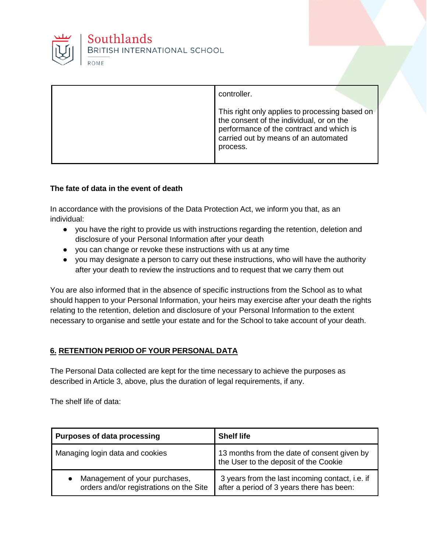

| controller.                                                                                                                                                                                |
|--------------------------------------------------------------------------------------------------------------------------------------------------------------------------------------------|
| This right only applies to processing based on<br>the consent of the individual, or on the<br>performance of the contract and which is<br>carried out by means of an automated<br>process. |

#### **The fate of data in the event of death**

In accordance with the provisions of the Data Protection Act, we inform you that, as an individual:

- you have the right to provide us with instructions regarding the retention, deletion and disclosure of your Personal Information after your death
- you can change or revoke these instructions with us at any time
- you may designate a person to carry out these instructions, who will have the authority after your death to review the instructions and to request that we carry them out

You are also informed that in the absence of specific instructions from the School as to what should happen to your Personal Information, your heirs may exercise after your death the rights relating to the retention, deletion and disclosure of your Personal Information to the extent necessary to organise and settle your estate and for the School to take account of your death.

#### **6. RETENTION PERIOD OF YOUR PERSONAL DATA**

The Personal Data collected are kept for the time necessary to achieve the purposes as described in Article 3, above, plus the duration of legal requirements, if any.

The shelf life of data:

| <b>Purposes of data processing</b>                                       | <b>Shelf life</b>                                                                            |
|--------------------------------------------------------------------------|----------------------------------------------------------------------------------------------|
| Managing login data and cookies                                          | 13 months from the date of consent given by<br>the User to the deposit of the Cookie         |
| Management of your purchases,<br>orders and/or registrations on the Site | 3 years from the last incoming contact, i.e. if<br>after a period of 3 years there has been: |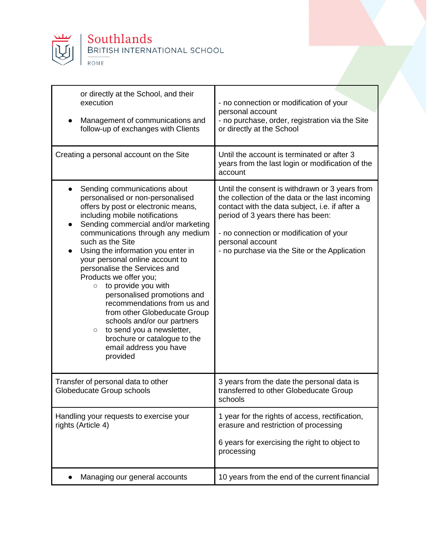

| or directly at the School, and their                                                                                                                                                                                                                                                                                                                                                                                                                                                                                                                                                                                                                                                |                                                                                                                                                                                                                                                                                                          |
|-------------------------------------------------------------------------------------------------------------------------------------------------------------------------------------------------------------------------------------------------------------------------------------------------------------------------------------------------------------------------------------------------------------------------------------------------------------------------------------------------------------------------------------------------------------------------------------------------------------------------------------------------------------------------------------|----------------------------------------------------------------------------------------------------------------------------------------------------------------------------------------------------------------------------------------------------------------------------------------------------------|
| execution<br>Management of communications and<br>follow-up of exchanges with Clients                                                                                                                                                                                                                                                                                                                                                                                                                                                                                                                                                                                                | - no connection or modification of your<br>personal account<br>- no purchase, order, registration via the Site<br>or directly at the School                                                                                                                                                              |
|                                                                                                                                                                                                                                                                                                                                                                                                                                                                                                                                                                                                                                                                                     |                                                                                                                                                                                                                                                                                                          |
| Creating a personal account on the Site                                                                                                                                                                                                                                                                                                                                                                                                                                                                                                                                                                                                                                             | Until the account is terminated or after 3<br>years from the last login or modification of the<br>account                                                                                                                                                                                                |
| Sending communications about<br>$\bullet$<br>personalised or non-personalised<br>offers by post or electronic means,<br>including mobile notifications<br>Sending commercial and/or marketing<br>communications through any medium<br>such as the Site<br>Using the information you enter in<br>$\bullet$<br>your personal online account to<br>personalise the Services and<br>Products we offer you;<br>to provide you with<br>$\circ$<br>personalised promotions and<br>recommendations from us and<br>from other Globeducate Group<br>schools and/or our partners<br>to send you a newsletter,<br>$\circ$<br>brochure or catalogue to the<br>email address you have<br>provided | Until the consent is withdrawn or 3 years from<br>the collection of the data or the last incoming<br>contact with the data subject, i.e. if after a<br>period of 3 years there has been:<br>- no connection or modification of your<br>personal account<br>- no purchase via the Site or the Application |
| Transfer of personal data to other<br>Globeducate Group schools                                                                                                                                                                                                                                                                                                                                                                                                                                                                                                                                                                                                                     | 3 years from the date the personal data is<br>transferred to other Globeducate Group<br>schools                                                                                                                                                                                                          |
| Handling your requests to exercise your<br>rights (Article 4)                                                                                                                                                                                                                                                                                                                                                                                                                                                                                                                                                                                                                       | 1 year for the rights of access, rectification,<br>erasure and restriction of processing                                                                                                                                                                                                                 |
|                                                                                                                                                                                                                                                                                                                                                                                                                                                                                                                                                                                                                                                                                     | 6 years for exercising the right to object to<br>processing                                                                                                                                                                                                                                              |
| Managing our general accounts                                                                                                                                                                                                                                                                                                                                                                                                                                                                                                                                                                                                                                                       | 10 years from the end of the current financial                                                                                                                                                                                                                                                           |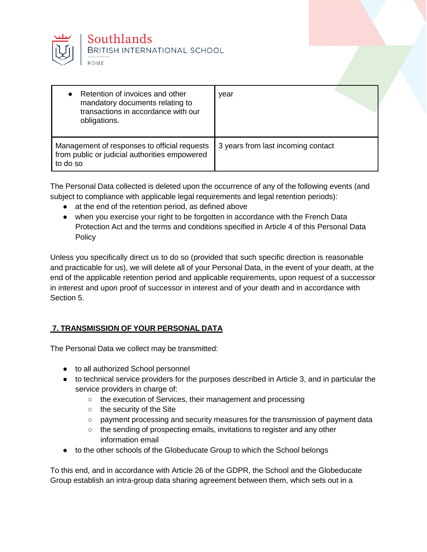

| Retention of invoices and other<br>$\bullet$<br>mandatory documents relating to<br>transactions in accordance with our<br>obligations. | vear                               |
|----------------------------------------------------------------------------------------------------------------------------------------|------------------------------------|
| Management of responses to official requests<br>from public or judicial authorities empowered<br>to do so                              | 3 years from last incoming contact |

The Personal Data collected is deleted upon the occurrence of any of the following events (and subject to compliance with applicable legal requirements and legal retention periods):

- at the end of the retention period, as defined above
- when you exercise your right to be forgotten in accordance with the French Data Protection Act and the terms and conditions specified in Article 4 of this Personal Data **Policy**

Unless you specifically direct us to do so (provided that such specific direction is reasonable and practicable for us), we will delete all of your Personal Data, in the event of your death, at the end of the applicable retention period and applicable requirements, upon request of a successor in interest and upon proof of successor in interest and of your death and in accordance with Section 5.

# **7. TRANSMISSION OF YOUR PERSONAL DATA**

The Personal Data we collect may be transmitted:

- to all authorized School personnel
- to technical service providers for the purposes described in Article 3, and in particular the service providers in charge of:
	- the execution of Services, their management and processing
	- the security of the Site
	- payment processing and security measures for the transmission of payment data
	- the sending of prospecting emails, invitations to register and any other information email
- to the other schools of the Globeducate Group to which the School belongs

To this end, and in accordance with Article 26 of the GDPR, the School and the Globeducate Group establish an intra-group data sharing agreement between them, which sets out in a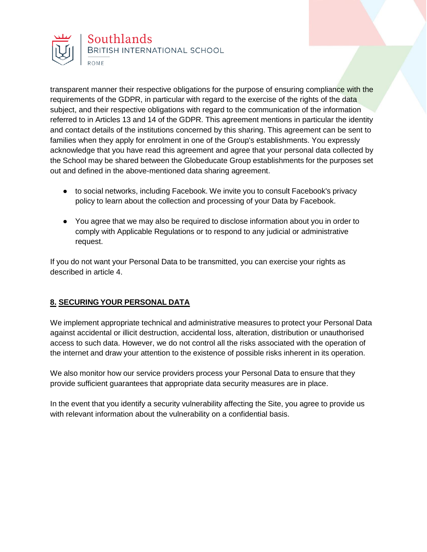

transparent manner their respective obligations for the purpose of ensuring compliance with the requirements of the GDPR, in particular with regard to the exercise of the rights of the data subject, and their respective obligations with regard to the communication of the information referred to in Articles 13 and 14 of the GDPR. This agreement mentions in particular the identity and contact details of the institutions concerned by this sharing. This agreement can be sent to families when they apply for enrolment in one of the Group's establishments. You expressly acknowledge that you have read this agreement and agree that your personal data collected by the School may be shared between the Globeducate Group establishments for the purposes set out and defined in the above-mentioned data sharing agreement.

- to social networks, including Facebook. We invite you to consult Facebook's privacy policy to learn about the collection and processing of your Data by Facebook.
- You agree that we may also be required to disclose information about you in order to comply with Applicable Regulations or to respond to any judicial or administrative request.

If you do not want your Personal Data to be transmitted, you can exercise your rights as described in article 4.

# **8. SECURING YOUR PERSONAL DATA**

We implement appropriate technical and administrative measures to protect your Personal Data against accidental or illicit destruction, accidental loss, alteration, distribution or unauthorised access to such data. However, we do not control all the risks associated with the operation of the internet and draw your attention to the existence of possible risks inherent in its operation.

We also monitor how our service providers process your Personal Data to ensure that they provide sufficient guarantees that appropriate data security measures are in place.

In the event that you identify a security vulnerability affecting the Site, you agree to provide us with relevant information about the vulnerability on a confidential basis.